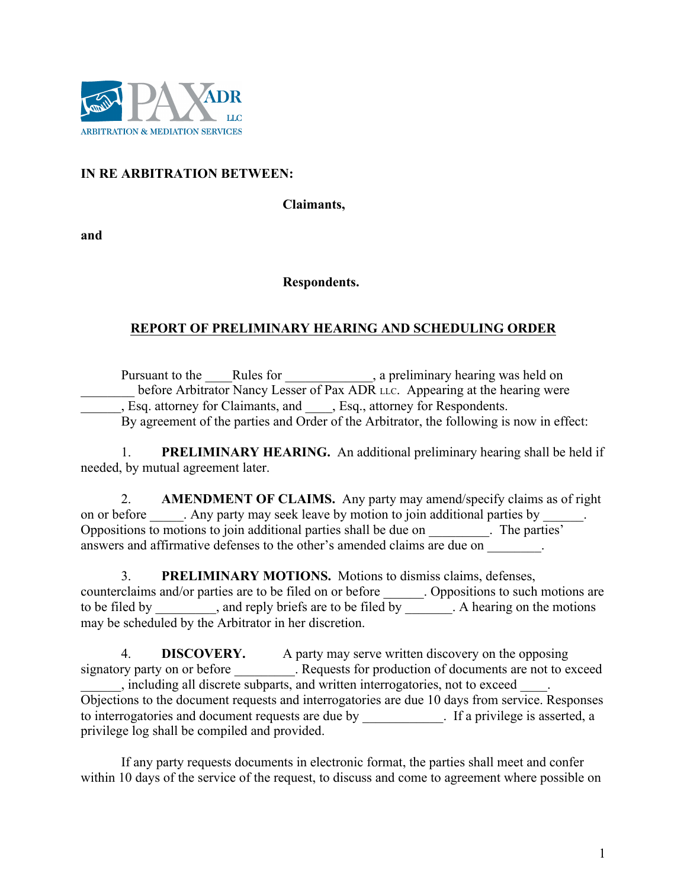

## **IN RE ARBITRATION BETWEEN:**

**Claimants,**

**and**

## **Respondents.**

## **REPORT OF PRELIMINARY HEARING AND SCHEDULING ORDER**

Pursuant to the Rules for Rules for Rules 1 a preliminary hearing was held on before Arbitrator Nancy Lesser of Pax ADR LLC. Appearing at the hearing were \_\_\_\_\_\_, Esq. attorney for Claimants, and \_\_\_\_, Esq., attorney for Respondents. By agreement of the parties and Order of the Arbitrator, the following is now in effect:

1. **PRELIMINARY HEARING.** An additional preliminary hearing shall be held if needed, by mutual agreement later.

2. **AMENDMENT OF CLAIMS.** Any party may amend/specify claims as of right on or before . Any party may seek leave by motion to join additional parties by Oppositions to motions to join additional parties shall be due on \_\_\_\_\_\_\_\_\_. The parties' answers and affirmative defenses to the other's amended claims are due on

3. **PRELIMINARY MOTIONS.** Motions to dismiss claims, defenses, counterclaims and/or parties are to be filed on or before \_\_\_\_\_\_. Oppositions to such motions are to be filed by \_\_\_\_\_\_\_, and reply briefs are to be filed by \_\_\_\_\_. A hearing on the motions may be scheduled by the Arbitrator in her discretion.

4. **DISCOVERY.** A party may serve written discovery on the opposing signatory party on or before \_\_\_\_\_\_\_\_\_. Requests for production of documents are not to exceed \_\_\_\_\_\_, including all discrete subparts, and written interrogatories, not to exceed \_\_\_\_. Objections to the document requests and interrogatories are due 10 days from service. Responses to interrogatories and document requests are due by Fig. 1. If a privilege is asserted, a privilege log shall be compiled and provided.

If any party requests documents in electronic format, the parties shall meet and confer within 10 days of the service of the request, to discuss and come to agreement where possible on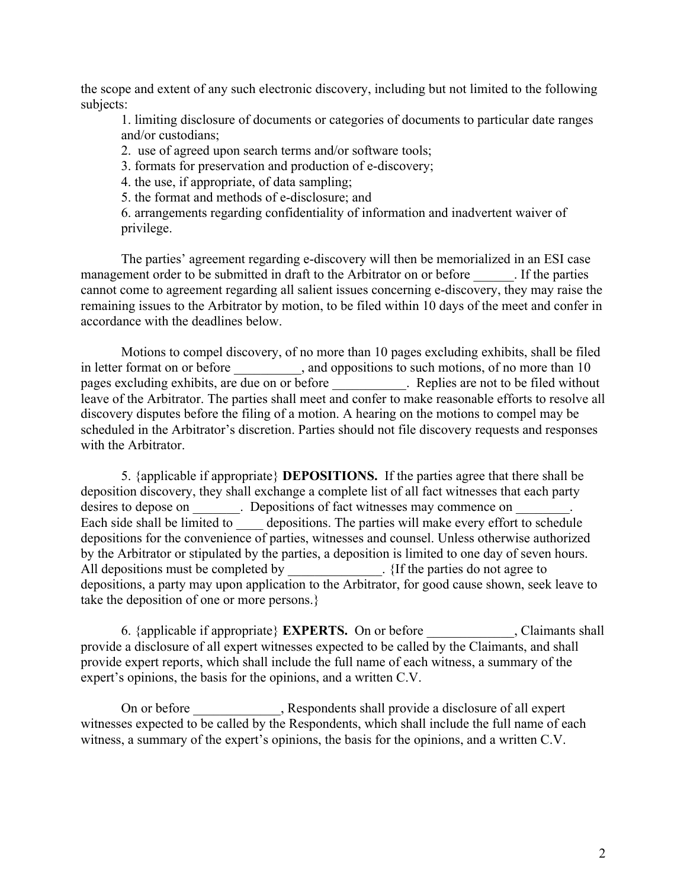the scope and extent of any such electronic discovery, including but not limited to the following subjects:

1. limiting disclosure of documents or categories of documents to particular date ranges and/or custodians;

2. use of agreed upon search terms and/or software tools;

3. formats for preservation and production of e-discovery;

4. the use, if appropriate, of data sampling;

5. the format and methods of e-disclosure; and

6. arrangements regarding confidentiality of information and inadvertent waiver of privilege.

The parties' agreement regarding e-discovery will then be memorialized in an ESI case management order to be submitted in draft to the Arbitrator on or before The parties cannot come to agreement regarding all salient issues concerning e-discovery, they may raise the remaining issues to the Arbitrator by motion, to be filed within 10 days of the meet and confer in accordance with the deadlines below.

Motions to compel discovery, of no more than 10 pages excluding exhibits, shall be filed in letter format on or before \_\_\_\_\_\_\_\_, and oppositions to such motions, of no more than 10 pages excluding exhibits, are due on or before \_\_\_\_\_\_\_\_\_\_\_. Replies are not to be filed without leave of the Arbitrator. The parties shall meet and confer to make reasonable efforts to resolve all discovery disputes before the filing of a motion. A hearing on the motions to compel may be scheduled in the Arbitrator's discretion. Parties should not file discovery requests and responses with the Arbitrator.

5. {applicable if appropriate} **DEPOSITIONS.** If the parties agree that there shall be deposition discovery, they shall exchange a complete list of all fact witnesses that each party desires to depose on  $\Box$  Depositions of fact witnesses may commence on  $\Box$ Each side shall be limited to depositions. The parties will make every effort to schedule depositions for the convenience of parties, witnesses and counsel. Unless otherwise authorized by the Arbitrator or stipulated by the parties, a deposition is limited to one day of seven hours. All depositions must be completed by \_\_\_\_\_\_\_\_\_\_\_\_. {If the parties do not agree to depositions, a party may upon application to the Arbitrator, for good cause shown, seek leave to take the deposition of one or more persons.}

6. {applicable if appropriate} **EXPERTS.** On or before \_\_\_\_\_\_\_\_\_\_\_\_\_, Claimants shall provide a disclosure of all expert witnesses expected to be called by the Claimants, and shall provide expert reports, which shall include the full name of each witness, a summary of the expert's opinions, the basis for the opinions, and a written C.V.

On or before \_\_\_\_\_\_\_\_\_\_, Respondents shall provide a disclosure of all expert witnesses expected to be called by the Respondents, which shall include the full name of each witness, a summary of the expert's opinions, the basis for the opinions, and a written C.V.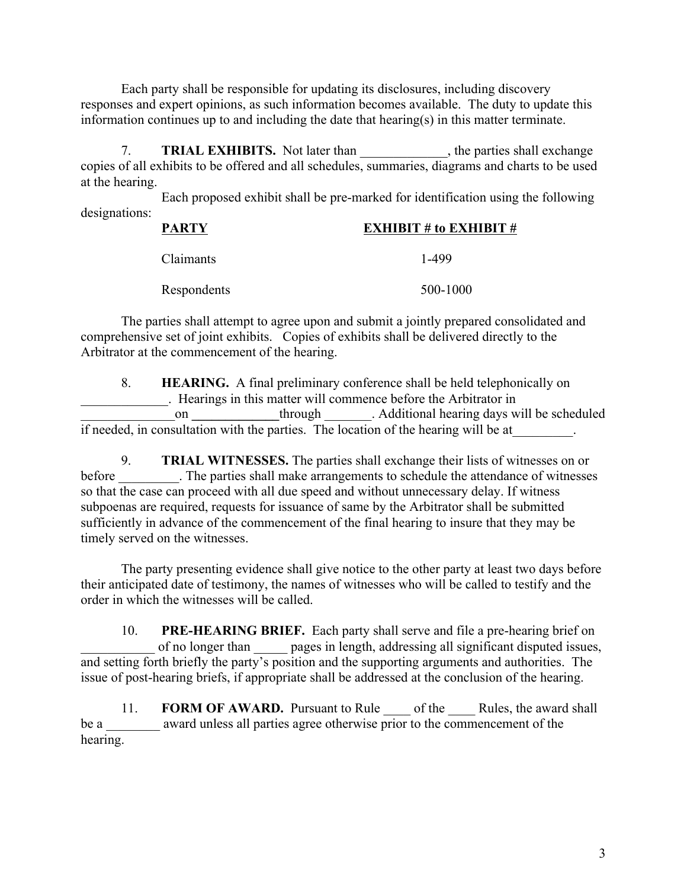Each party shall be responsible for updating its disclosures, including discovery responses and expert opinions, as such information becomes available. The duty to update this information continues up to and including the date that hearing(s) in this matter terminate.

7. **TRIAL EXHIBITS.** Not later than the parties shall exchange copies of all exhibits to be offered and all schedules, summaries, diagrams and charts to be used at the hearing.

Each proposed exhibit shall be pre-marked for identification using the following designations:

| <b>PARTY</b> | <b>EXHIBIT # to EXHIBIT #</b> |
|--------------|-------------------------------|
|              |                               |

| Claimants   | 1-499    |
|-------------|----------|
| Respondents | 500-1000 |

The parties shall attempt to agree upon and submit a jointly prepared consolidated and comprehensive set of joint exhibits. Copies of exhibits shall be delivered directly to the Arbitrator at the commencement of the hearing.

8. **HEARING.** A final preliminary conference shall be held telephonically on \_\_\_\_\_\_\_\_\_\_\_\_\_. Hearings in this matter will commence before the Arbitrator in on **through** Additional hearing days will be scheduled if needed, in consultation with the parties. The location of the hearing will be at

9. **TRIAL WITNESSES.** The parties shall exchange their lists of witnesses on or before The parties shall make arrangements to schedule the attendance of witnesses so that the case can proceed with all due speed and without unnecessary delay. If witness subpoenas are required, requests for issuance of same by the Arbitrator shall be submitted sufficiently in advance of the commencement of the final hearing to insure that they may be timely served on the witnesses.

The party presenting evidence shall give notice to the other party at least two days before their anticipated date of testimony, the names of witnesses who will be called to testify and the order in which the witnesses will be called.

10. **PRE-HEARING BRIEF.** Each party shall serve and file a pre-hearing brief on of no longer than \_\_\_\_\_\_ pages in length, addressing all significant disputed issues, and setting forth briefly the party's position and the supporting arguments and authorities. The issue of post-hearing briefs, if appropriate shall be addressed at the conclusion of the hearing.

11. **FORM OF AWARD.** Pursuant to Rule of the Rules, the award shall be a <u>secure award unless all parties agree otherwise</u> prior to the commencement of the hearing.